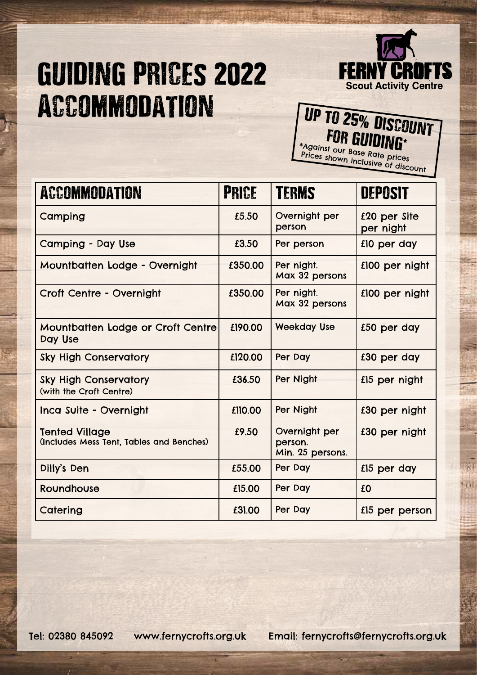## GUIDING PRICEs 2022 Accommodation



## UP TO 25% DISCOUNT

\*Against our Base Rate prices Prices shown inclusive of discount

| <b>ACCOMMODATION</b>                                              | <b>PRICE</b> | <b>TERMS</b>                                 | <b>DEPOSIT</b>            |
|-------------------------------------------------------------------|--------------|----------------------------------------------|---------------------------|
| Camping                                                           | £5.50        | Overnight per<br>person                      | £20 per Site<br>per night |
| <b>Camping - Day Use</b>                                          | £3.50        | Per person                                   | £10 per day               |
| Mountbatten Lodge - Overnight                                     | £350.00      | Per night.<br>Max 32 persons                 | £100 per night            |
| Croft Centre - Overnight                                          | £350.00      | Per night.<br>Max 32 persons                 | £100 per night            |
| Mountbatten Lodge or Croft Centre<br>Day Use                      | £190.00      | <b>Weekday Use</b>                           | £50 per day               |
| <b>Sky High Conservatory</b>                                      | £120.00      | Per Day                                      | £30 per day               |
| <b>Sky High Conservatory</b><br>(with the Croft Centre)           | £36.50       | Per Night                                    | £15 per night             |
| Inca Suite - Overnight                                            | £110.00      | Per Night                                    | £30 per night             |
| <b>Tented Village</b><br>(Includes Mess Tent, Tables and Benches) | £9.50        | Overnight per<br>person.<br>Min. 25 persons. | £30 per night             |
| Dilly's Den                                                       | £55.00       | Per Day                                      | £15 per day               |
| Roundhouse                                                        | £15.00       | Per Day                                      | £0                        |
| Catering                                                          | £31.00       | Per Day                                      | £15 per person            |

Tel: 02380 845092 www.fernycrofts.org.uk Email: fernycrofts@fernycrofts.org.uk